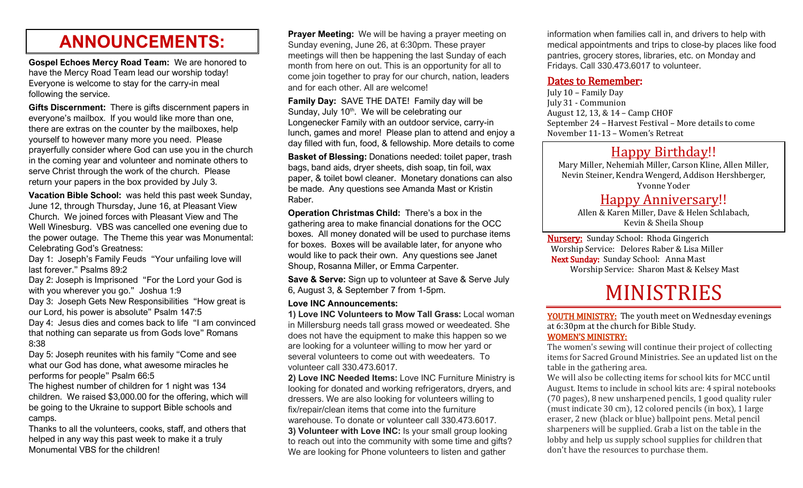## **ANNOUNCEMENTS:**

**Gospel Echoes Mercy Road Team:** We are honored to have the Mercy Road Team lead our worship today! Everyone is welcome to stay for the carry-in meal following the service.

**Gifts Discernment:** There is gifts discernment papers in everyone's mailbox. If you would like more than one, there are extras on the counter by the mailboxes, help yourself to however many more you need. Please prayerfully consider where God can use you in the church in the coming year and volunteer and nominate others to serve Christ through the work of the church. Please return your papers in the box provided by July 3.

**Vacation Bible School:** was held this past week Sunday, June 12, through Thursday, June 16, at Pleasant View Church. We joined forces with Pleasant View and The Well Winesburg. VBS was cancelled one evening due to the power outage. The Theme this year was Monumental: Celebrating God's Greatness:

Day 1: Joseph's Family Feuds "Your unfailing love will last forever." Psalms 89:2

Day 2: Joseph is Imprisoned "For the Lord your God is with you wherever you go." Joshua 1:9

Day 3: Joseph Gets New Responsibilities "How great is our Lord, his power is absolute" Psalm 147:5

Day 4: Jesus dies and comes back to life "I am convinced that nothing can separate us from Gods love" Romans 8:38

Day 5: Joseph reunites with his family "Come and see what our God has done, what awesome miracles he performs for people" Psalm 66:5

The highest number of children for 1 night was 134 children. We raised \$3,000.00 for the offering, which will be going to the Ukraine to support Bible schools and camps.

Thanks to all the volunteers, cooks, staff, and others that helped in any way this past week to make it a truly Monumental VBS for the children!

**Prayer Meeting:** We will be having a prayer meeting on Sunday evening, June 26, at 6:30pm. These prayer meetings will then be happening the last Sunday of each month from here on out. This is an opportunity for all to come join together to pray for our church, nation, leaders and for each other. All are welcome!

**Family Day:** SAVE THE DATE! Family day will be Sunday, July 10<sup>th</sup>. We will be celebrating our Longenecker Family with an outdoor service, carry-in lunch, games and more! Please plan to attend and enjoy a day filled with fun, food, & fellowship. More details to come

**Basket of Blessing:** Donations needed: toilet paper, trash bags, band aids, dryer sheets, dish soap, tin foil, wax paper, & toilet bowl cleaner. Monetary donations can also be made. Any questions see Amanda Mast or Kristin Raber.

**Operation Christmas Child:** There's a box in the gathering area to make financial donations for the OCC boxes. All money donated will be used to purchase items for boxes. Boxes will be available later, for anyone who would like to pack their own. Any questions see Janet Shoup, Rosanna Miller, or Emma Carpenter.

**Save & Serve:** Sign up to volunteer at Save & Serve July 6, August 3, & September 7 from 1-5pm.

#### **Love INC Announcements:**

**1) Love INC Volunteers to Mow Tall Grass:** Local woman in Millersburg needs tall grass mowed or weedeated. She does not have the equipment to make this happen so we are looking for a volunteer willing to mow her yard or several volunteers to come out with weedeaters. To volunteer call 330.473.6017.

**2) Love INC Needed Items:** Love INC Furniture Ministry is looking for donated and working refrigerators, dryers, and dressers. We are also looking for volunteers willing to fix/repair/clean items that come into the furniture warehouse. To donate or volunteer call 330.473.6017. **3) Volunteer with Love INC:** Is your small group looking to reach out into the community with some time and gifts? We are looking for Phone volunteers to listen and gather

information when families call in, and drivers to help with medical appointments and trips to close-by places like food pantries, grocery stores, libraries, etc. on Monday and Fridays. Call 330.473.6017 to volunteer.

#### Dates to Remember:

July 10 – Family Day July 31 - Communion August 12, 13, & 14 – Camp CHOF September 24 – Harvest Festival – More details to come November 11-13 – Women's Retreat

### Happy Birthday!!

Mary Miller, Nehemiah Miller, Carson Kline, Allen Miller, Nevin Steiner, Kendra Wengerd, Addison Hershberger, Yvonne Yoder

### Happy Anniversary!!

Allen & Karen Miller, Dave & Helen Schlabach, Kevin & Sheila Shoup

Nursery: Sunday School: Rhoda Gingerich Worship Service: Delores Raber & Lisa Miller Next Sunday: Sunday School: Anna Mast Worship Service: Sharon Mast & Kelsey Mast

# MINISTRIES

YOUTH MINISTRY: The youth meet on Wednesday evenings at 6:30pm at the church for Bible Study.

#### WOMEN'S MINISTRY:

The women's sewing will continue their project of collecting items for Sacred Ground Ministries. See an updated list on the table in the gathering area.

We will also be collecting items for school kits for MCC until August. Items to include in school kits are: 4 spiral notebooks (70 pages), 8 new unsharpened pencils, 1 good quality ruler (must indicate 30 cm), 12 colored pencils (in box), 1 large eraser, 2 new (black or blue) ballpoint pens. Metal pencil sharpeners will be supplied. Grab a list on the table in the lobby and help us supply school supplies for children that don't have the resources to purchase them.